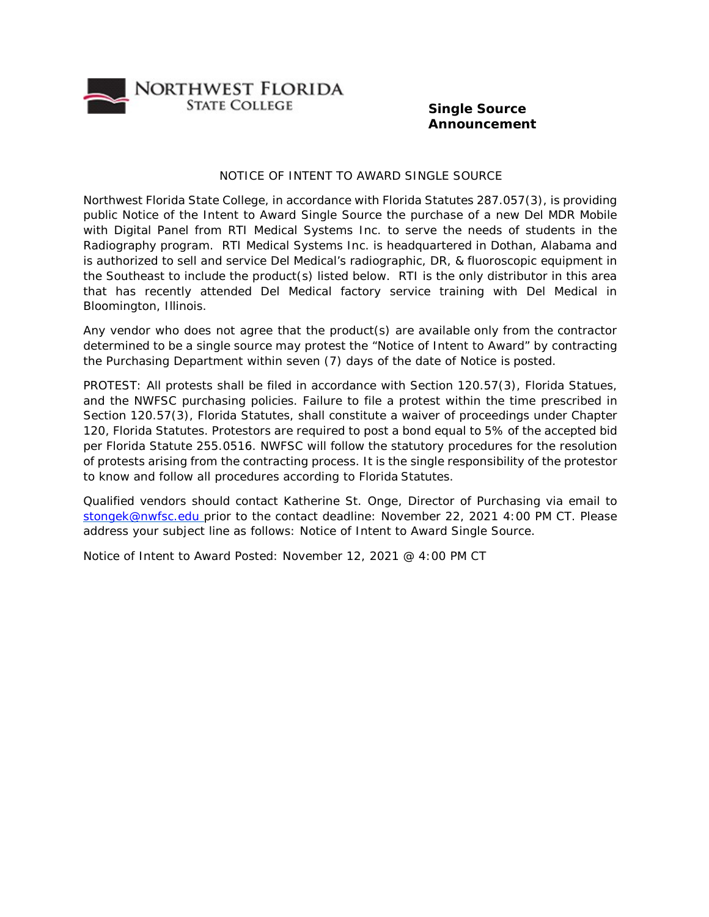

## **Single Source Announcement**

## NOTICE OF INTENT TO AWARD SINGLE SOURCE

Northwest Florida State College, in accordance with Florida Statutes 287.057(3), is providing public Notice of the Intent to Award Single Source the purchase of a new Del MDR Mobile with Digital Panel from RTI Medical Systems Inc. to serve the needs of students in the Radiography program. RTI Medical Systems Inc. is headquartered in Dothan, Alabama and is authorized to sell and service Del Medical's radiographic, DR, & fluoroscopic equipment in the Southeast to include the product(s) listed below. RTI is the only distributor in this area that has recently attended Del Medical factory service training with Del Medical in Bloomington, Illinois.

Any vendor who does not agree that the product(s) are available only from the contractor determined to be a single source may protest the "Notice of Intent to Award" by contracting the Purchasing Department within seven (7) days of the date of Notice is posted.

PROTEST: All protests shall be filed in accordance with Section 120.57(3), Florida Statues, and the NWFSC purchasing policies. Failure to file a protest within the time prescribed in Section 120.57(3), Florida Statutes, shall constitute a waiver of proceedings under Chapter 120, Florida Statutes. Protestors are required to post a bond equal to 5% of the accepted bid per Florida Statute 255.0516. NWFSC will follow the statutory procedures for the resolution of protests arising from the contracting process. It is the single responsibility of the protestor to know and follow all procedures according to Florida Statutes.

Qualified vendors should contact Katherine St. Onge, Director of Purchasing via email to [stongek@nwfsc.edu p](mailto:stongek@nwfsc.edu)rior to the contact deadline: November 22, 2021 4:00 PM CT. Please address your subject line as follows: Notice of Intent to Award Single Source.

Notice of Intent to Award Posted: November 12, 2021 @ 4:00 PM CT